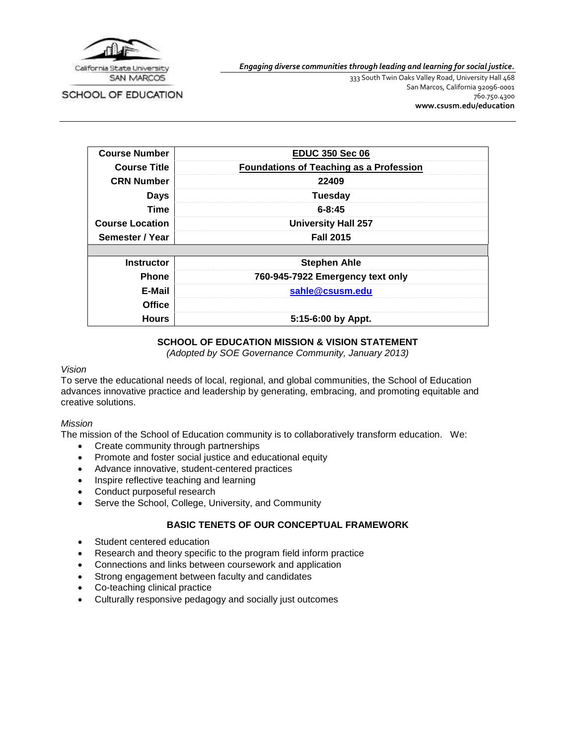

SCHOOL OF EDUCATION

*Engaging diverse communities through leading and learning for social justice.*

333 South Twin Oaks Valley Road, University Hall 468 San Marcos, California 92096-0001 760.750.4300 **[www.csusm.edu/education](http://www.csusm.edu/education)**

| <b>Course Number</b>   | <b>EDUC 350 Sec 06</b>                         |
|------------------------|------------------------------------------------|
| <b>Course Title</b>    | <b>Foundations of Teaching as a Profession</b> |
| <b>CRN Number</b>      | 22409                                          |
| <b>Days</b>            | <b>Tuesday</b>                                 |
| Time                   | $6 - 8:45$                                     |
| <b>Course Location</b> | <b>University Hall 257</b>                     |
| Semester / Year        | <b>Fall 2015</b>                               |
|                        |                                                |
| <b>Instructor</b>      | <b>Stephen Ahle</b>                            |
| <b>Phone</b>           | 760-945-7922 Emergency text only               |
| E-Mail                 | sahle@csusm.edu                                |
| <b>Office</b>          |                                                |
| <b>Hours</b>           | 5:15-6:00 by Appt.                             |

# **SCHOOL OF EDUCATION MISSION & VISION STATEMENT**

*(Adopted by SOE Governance Community, January 2013)*

### *Vision*

To serve the educational needs of local, regional, and global communities, the School of Education advances innovative practice and leadership by generating, embracing, and promoting equitable and creative solutions.

### *Mission*

The mission of the School of Education community is to collaboratively transform education. We:

- Create community through partnerships
- Promote and foster social justice and educational equity
- Advance innovative, student-centered practices
- Inspire reflective teaching and learning
- Conduct purposeful research
- Serve the School, College, University, and Community

### **BASIC TENETS OF OUR CONCEPTUAL FRAMEWORK**

- Student centered education
- Research and theory specific to the program field inform practice
- Connections and links between coursework and application
- Strong engagement between faculty and candidates
- Co-teaching clinical practice
- Culturally responsive pedagogy and socially just outcomes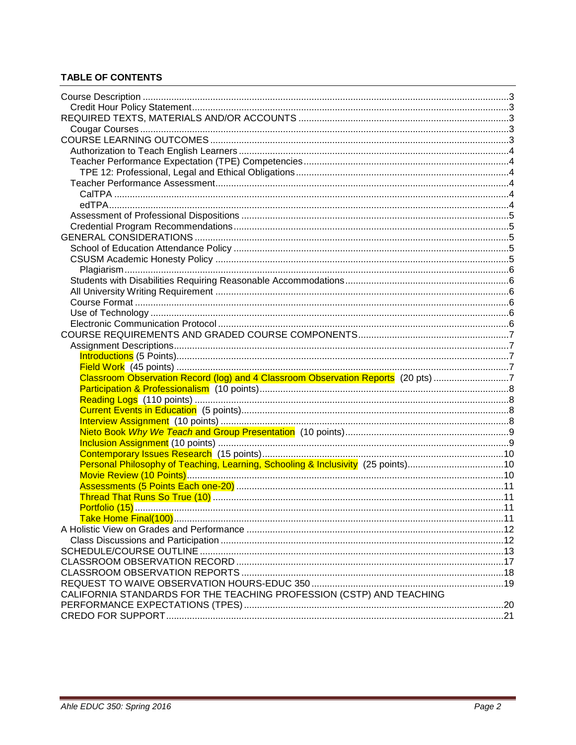# **TABLE OF CONTENTS**

| Classroom Observation Record (log) and 4 Classroom Observation Reports (20 pts) 7 |  |
|-----------------------------------------------------------------------------------|--|
|                                                                                   |  |
|                                                                                   |  |
|                                                                                   |  |
|                                                                                   |  |
|                                                                                   |  |
|                                                                                   |  |
|                                                                                   |  |
| Personal Philosophy of Teaching, Learning, Schooling & Inclusivity (25 points)10  |  |
|                                                                                   |  |
|                                                                                   |  |
|                                                                                   |  |
|                                                                                   |  |
|                                                                                   |  |
|                                                                                   |  |
|                                                                                   |  |
|                                                                                   |  |
|                                                                                   |  |
|                                                                                   |  |
| CALIFORNIA STANDARDS FOR THE TEACHING PROFESSION (CSTP) AND TEACHING              |  |
|                                                                                   |  |
|                                                                                   |  |
|                                                                                   |  |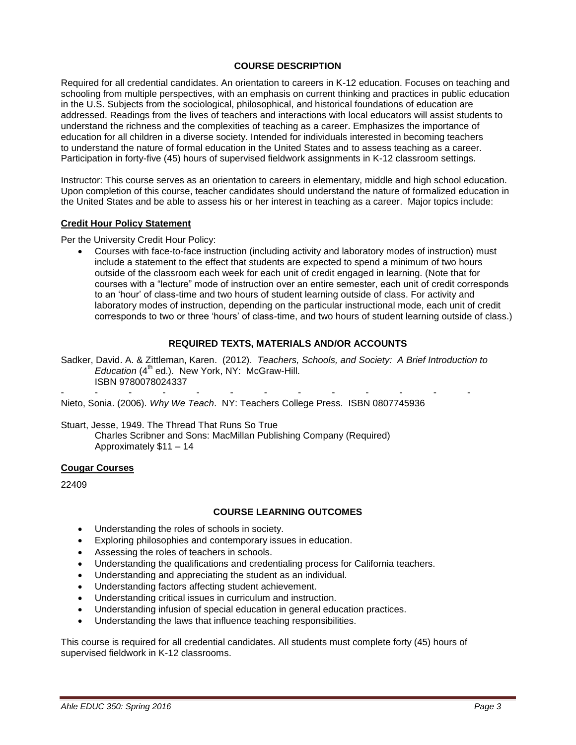### **COURSE DESCRIPTION**

<span id="page-2-0"></span>Required for all credential candidates. An orientation to careers in K-12 education. Focuses on teaching and schooling from multiple perspectives, with an emphasis on current thinking and practices in public education in the U.S. Subjects from the sociological, philosophical, and historical foundations of education are addressed. Readings from the lives of teachers and interactions with local educators will assist students to understand the richness and the complexities of teaching as a career. Emphasizes the importance of education for all children in a diverse society. Intended for individuals interested in becoming teachers to understand the nature of formal education in the United States and to assess teaching as a career. Participation in forty-five (45) hours of supervised fieldwork assignments in K-12 classroom settings.

Instructor: This course serves as an orientation to careers in elementary, middle and high school education. Upon completion of this course, teacher candidates should understand the nature of formalized education in the United States and be able to assess his or her interest in teaching as a career. Major topics include:

#### <span id="page-2-1"></span>**Credit Hour Policy Statement**

Per the University Credit Hour Policy:

 Courses with face-to-face instruction (including activity and laboratory modes of instruction) must include a statement to the effect that students are expected to spend a minimum of two hours outside of the classroom each week for each unit of credit engaged in learning. (Note that for courses with a "lecture" mode of instruction over an entire semester, each unit of credit corresponds to an 'hour' of class-time and two hours of student learning outside of class. For activity and laboratory modes of instruction, depending on the particular instructional mode, each unit of credit corresponds to two or three 'hours' of class-time, and two hours of student learning outside of class.)

#### **REQUIRED TEXTS, MATERIALS AND/OR ACCOUNTS**

<span id="page-2-2"></span>Sadker, David. A. & Zittleman, Karen. (2012). *Teachers, Schools, and Society: A Brief Introduction to Education* (4<sup>th</sup> ed.). New York, NY: McGraw-Hill. ISBN 9780078024337

- - - - - - - - - - - - - Nieto, Sonia. (2006). *Why We Teach*. NY: Teachers College Press. ISBN 0807745936

Stuart, Jesse, 1949. The Thread That Runs So True Charles Scribner and Sons: MacMillan Publishing Company (Required) Approximately \$11 – 14

#### <span id="page-2-3"></span>**Cougar Courses**

<span id="page-2-4"></span>22409

#### **COURSE LEARNING OUTCOMES**

- Understanding the roles of schools in society.
- Exploring philosophies and contemporary issues in education.
- Assessing the roles of teachers in schools.
- Understanding the qualifications and credentialing process for California teachers.
- Understanding and appreciating the student as an individual.
- Understanding factors affecting student achievement.
- Understanding critical issues in curriculum and instruction.
- Understanding infusion of special education in general education practices.
- Understanding the laws that influence teaching responsibilities.

This course is required for all credential candidates. All students must complete forty (45) hours of supervised fieldwork in K-12 classrooms.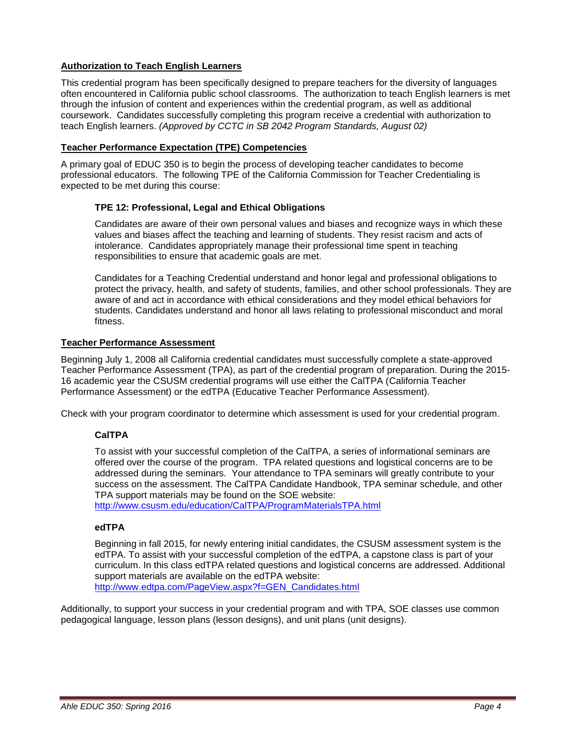# <span id="page-3-0"></span>**Authorization to Teach English Learners**

This credential program has been specifically designed to prepare teachers for the diversity of languages often encountered in California public school classrooms. The authorization to teach English learners is met through the infusion of content and experiences within the credential program, as well as additional coursework. Candidates successfully completing this program receive a credential with authorization to teach English learners. *(Approved by CCTC in SB 2042 Program Standards, August 02)*

### <span id="page-3-1"></span>**Teacher Performance Expectation (TPE) Competencies**

A primary goal of EDUC 350 is to begin the process of developing teacher candidates to become professional educators. The following TPE of the California Commission for Teacher Credentialing is expected to be met during this course:

### <span id="page-3-2"></span>**TPE 12: Professional, Legal and Ethical Obligations**

Candidates are aware of their own personal values and biases and recognize ways in which these values and biases affect the teaching and learning of students. They resist racism and acts of intolerance. Candidates appropriately manage their professional time spent in teaching responsibilities to ensure that academic goals are met.

Candidates for a Teaching Credential understand and honor legal and professional obligations to protect the privacy, health, and safety of students, families, and other school professionals. They are aware of and act in accordance with ethical considerations and they model ethical behaviors for students. Candidates understand and honor all laws relating to professional misconduct and moral fitness.

#### <span id="page-3-3"></span>**Teacher Performance Assessment**

Beginning July 1, 2008 all California credential candidates must successfully complete a state-approved Teacher Performance Assessment (TPA), as part of the credential program of preparation. During the 2015- 16 academic year the CSUSM credential programs will use either the CalTPA (California Teacher Performance Assessment) or the edTPA (Educative Teacher Performance Assessment).

<span id="page-3-4"></span>Check with your program coordinator to determine which assessment is used for your credential program.

### **CalTPA**

To assist with your successful completion of the CalTPA, a series of informational seminars are offered over the course of the program. TPA related questions and logistical concerns are to be addressed during the seminars. Your attendance to TPA seminars will greatly contribute to your success on the assessment. The CalTPA Candidate Handbook, TPA seminar schedule, and other TPA support materials may be found on the SOE website:

<http://www.csusm.edu/education/CalTPA/ProgramMaterialsTPA.html>

# <span id="page-3-5"></span>**edTPA**

Beginning in fall 2015, for newly entering initial candidates, the CSUSM assessment system is the edTPA. To assist with your successful completion of the edTPA, a capstone class is part of your curriculum. In this class edTPA related questions and logistical concerns are addressed. Additional support materials are available on the edTPA website: [http://www.edtpa.com/PageView.aspx?f=GEN\\_Candidates.html](http://www.edtpa.com/PageView.aspx?f=GEN_Candidates.html)

Additionally, to support your success in your credential program and with TPA, SOE classes use common pedagogical language, lesson plans (lesson designs), and unit plans (unit designs).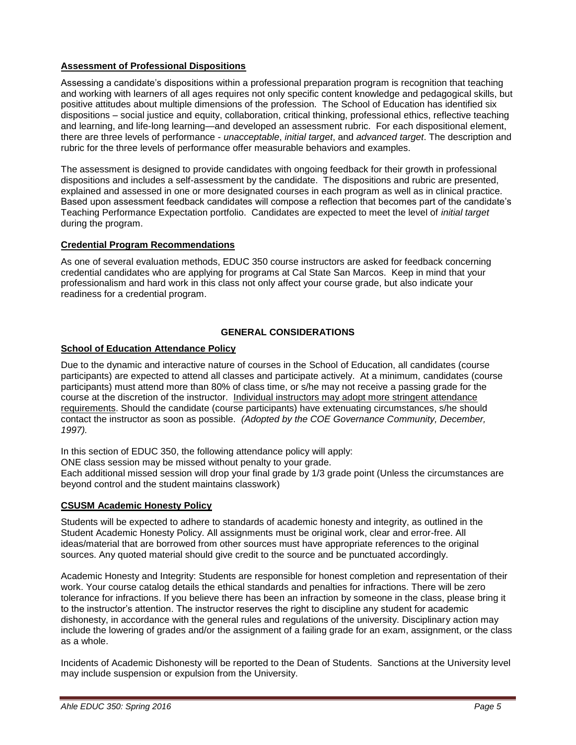### <span id="page-4-0"></span>**Assessment of Professional Dispositions**

Assessing a candidate's dispositions within a professional preparation program is recognition that teaching and working with learners of all ages requires not only specific content knowledge and pedagogical skills, but positive attitudes about multiple dimensions of the profession. The School of Education has identified six dispositions – social justice and equity, collaboration, critical thinking, professional ethics, reflective teaching and learning, and life-long learning—and developed an assessment rubric. For each dispositional element, there are three levels of performance - *unacceptable*, *initial target*, and *advanced target*. The description and rubric for the three levels of performance offer measurable behaviors and examples.

The assessment is designed to provide candidates with ongoing feedback for their growth in professional dispositions and includes a self-assessment by the candidate. The dispositions and rubric are presented, explained and assessed in one or more designated courses in each program as well as in clinical practice. Based upon assessment feedback candidates will compose a reflection that becomes part of the candidate's Teaching Performance Expectation portfolio. Candidates are expected to meet the level of *initial target* during the program.

# <span id="page-4-1"></span>**Credential Program Recommendations**

As one of several evaluation methods, EDUC 350 course instructors are asked for feedback concerning credential candidates who are applying for programs at Cal State San Marcos. Keep in mind that your professionalism and hard work in this class not only affect your course grade, but also indicate your readiness for a credential program.

# **GENERAL CONSIDERATIONS**

### <span id="page-4-3"></span><span id="page-4-2"></span>**School of Education Attendance Policy**

Due to the dynamic and interactive nature of courses in the School of Education, all candidates (course participants) are expected to attend all classes and participate actively. At a minimum, candidates (course participants) must attend more than 80% of class time, or s/he may not receive a passing grade for the course at the discretion of the instructor. Individual instructors may adopt more stringent attendance requirements. Should the candidate (course participants) have extenuating circumstances, s/he should contact the instructor as soon as possible. *(Adopted by the COE Governance Community, December, 1997).*

In this section of EDUC 350, the following attendance policy will apply:

ONE class session may be missed without penalty to your grade.

Each additional missed session will drop your final grade by 1/3 grade point (Unless the circumstances are beyond control and the student maintains classwork)

### <span id="page-4-4"></span>**CSUSM Academic Honesty Policy**

Students will be expected to adhere to standards of academic honesty and integrity, as outlined in the Student Academic Honesty Policy. All assignments must be original work, clear and error-free. All ideas/material that are borrowed from other sources must have appropriate references to the original sources. Any quoted material should give credit to the source and be punctuated accordingly.

Academic Honesty and Integrity: Students are responsible for honest completion and representation of their work. Your course catalog details the ethical standards and penalties for infractions. There will be zero tolerance for infractions. If you believe there has been an infraction by someone in the class, please bring it to the instructor's attention. The instructor reserves the right to discipline any student for academic dishonesty, in accordance with the general rules and regulations of the university. Disciplinary action may include the lowering of grades and/or the assignment of a failing grade for an exam, assignment, or the class as a whole.

Incidents of Academic Dishonesty will be reported to the Dean of Students. Sanctions at the University level may include suspension or expulsion from the University.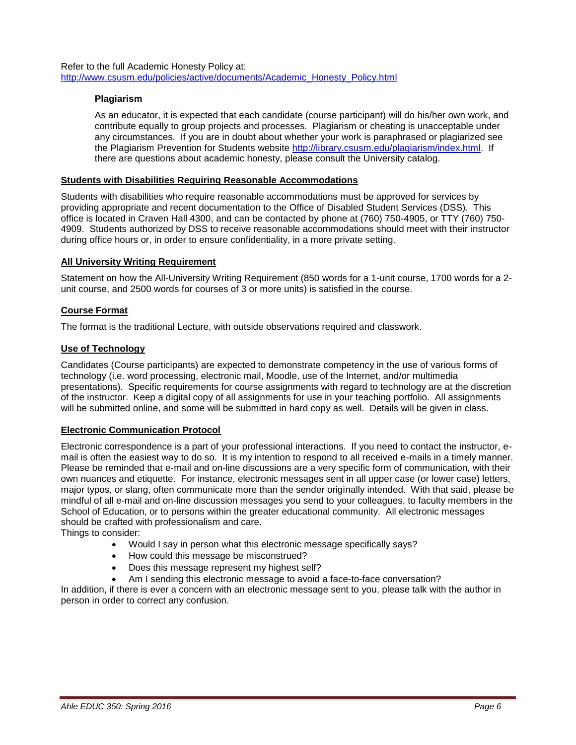<span id="page-5-0"></span>Refer to the full Academic Honesty Policy at: [http://www.csusm.edu/policies/active/documents/Academic\\_Honesty\\_Policy.html](http://www.csusm.edu/policies/active/documents/Academic_Honesty_Policy.html)

### **Plagiarism**

As an educator, it is expected that each candidate (course participant) will do his/her own work, and contribute equally to group projects and processes. Plagiarism or cheating is unacceptable under any circumstances. If you are in doubt about whether your work is paraphrased or plagiarized see the Plagiarism Prevention for Students website [http://library.csusm.edu/plagiarism/index.html.](http://library.csusm.edu/plagiarism/index.html) If there are questions about academic honesty, please consult the University catalog.

### <span id="page-5-1"></span>**Students with Disabilities Requiring Reasonable Accommodations**

Students with disabilities who require reasonable accommodations must be approved for services by providing appropriate and recent documentation to the Office of Disabled Student Services (DSS). This office is located in Craven Hall 4300, and can be contacted by phone at (760) 750-4905, or TTY (760) 750- 4909. Students authorized by DSS to receive reasonable accommodations should meet with their instructor during office hours or, in order to ensure confidentiality, in a more private setting.

### <span id="page-5-2"></span>**All University Writing Requirement**

Statement on how the All-University Writing Requirement (850 words for a 1-unit course, 1700 words for a 2 unit course, and 2500 words for courses of 3 or more units) is satisfied in the course.

### <span id="page-5-3"></span>**Course Format**

The format is the traditional Lecture, with outside observations required and classwork.

### <span id="page-5-4"></span>**Use of Technology**

Candidates (Course participants) are expected to demonstrate competency in the use of various forms of technology (i.e. word processing, electronic mail, Moodle, use of the Internet, and/or multimedia presentations). Specific requirements for course assignments with regard to technology are at the discretion of the instructor. Keep a digital copy of all assignments for use in your teaching portfolio. All assignments will be submitted online, and some will be submitted in hard copy as well. Details will be given in class.

### <span id="page-5-5"></span>**Electronic Communication Protocol**

Electronic correspondence is a part of your professional interactions. If you need to contact the instructor, email is often the easiest way to do so. It is my intention to respond to all received e-mails in a timely manner. Please be reminded that e-mail and on-line discussions are a very specific form of communication, with their own nuances and etiquette. For instance, electronic messages sent in all upper case (or lower case) letters, major typos, or slang, often communicate more than the sender originally intended. With that said, please be mindful of all e-mail and on-line discussion messages you send to your colleagues, to faculty members in the School of Education, or to persons within the greater educational community. All electronic messages should be crafted with professionalism and care.

Things to consider:

- Would I say in person what this electronic message specifically says?
- How could this message be misconstrued?
- Does this message represent my highest self?
- Am I sending this electronic message to avoid a face-to-face conversation?

In addition, if there is ever a concern with an electronic message sent to you, please talk with the author in person in order to correct any confusion.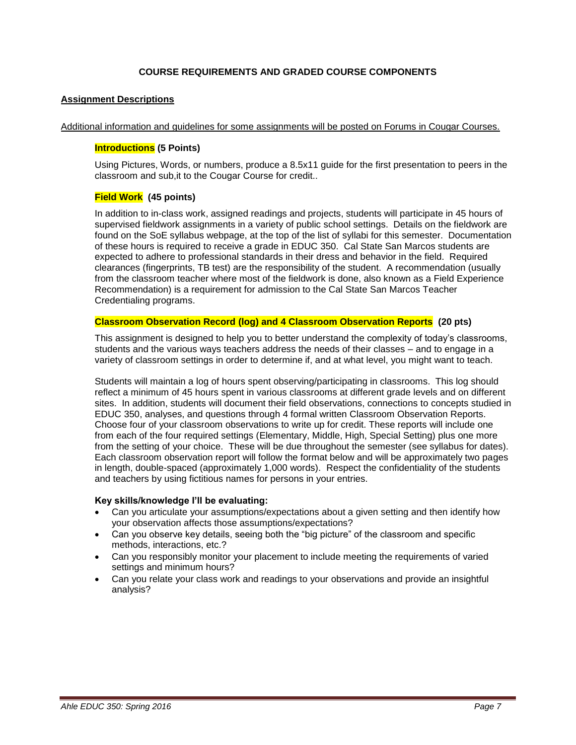### **COURSE REQUIREMENTS AND GRADED COURSE COMPONENTS**

### <span id="page-6-1"></span><span id="page-6-0"></span>**Assignment Descriptions**

<span id="page-6-2"></span>Additional information and guidelines for some assignments will be posted on Forums in Cougar Courses.

### **Introductions (5 Points)**

Using Pictures, Words, or numbers, produce a 8.5x11 guide for the first presentation to peers in the classroom and sub,it to the Cougar Course for credit..

### <span id="page-6-3"></span>**Field Work (45 points)**

In addition to in-class work, assigned readings and projects, students will participate in 45 hours of supervised fieldwork assignments in a variety of public school settings. Details on the fieldwork are found on the SoE syllabus webpage, at the top of the list of syllabi for this semester. Documentation of these hours is required to receive a grade in EDUC 350. Cal State San Marcos students are expected to adhere to professional standards in their dress and behavior in the field. Required clearances (fingerprints, TB test) are the responsibility of the student. A recommendation (usually from the classroom teacher where most of the fieldwork is done, also known as a Field Experience Recommendation) is a requirement for admission to the Cal State San Marcos Teacher Credentialing programs.

### <span id="page-6-4"></span>**Classroom Observation Record (log) and 4 Classroom Observation Reports (20 pts)**

This assignment is designed to help you to better understand the complexity of today's classrooms, students and the various ways teachers address the needs of their classes – and to engage in a variety of classroom settings in order to determine if, and at what level, you might want to teach.

Students will maintain a log of hours spent observing/participating in classrooms. This log should reflect a minimum of 45 hours spent in various classrooms at different grade levels and on different sites. In addition, students will document their field observations, connections to concepts studied in EDUC 350, analyses, and questions through 4 formal written Classroom Observation Reports. Choose four of your classroom observations to write up for credit. These reports will include one from each of the four required settings (Elementary, Middle, High, Special Setting) plus one more from the setting of your choice. These will be due throughout the semester (see syllabus for dates). Each classroom observation report will follow the format below and will be approximately two pages in length, double-spaced (approximately 1,000 words). Respect the confidentiality of the students and teachers by using fictitious names for persons in your entries.

#### **Key skills/knowledge I'll be evaluating:**

- Can you articulate your assumptions/expectations about a given setting and then identify how your observation affects those assumptions/expectations?
- Can you observe key details, seeing both the "big picture" of the classroom and specific methods, interactions, etc.?
- Can you responsibly monitor your placement to include meeting the requirements of varied settings and minimum hours?
- Can you relate your class work and readings to your observations and provide an insightful analysis?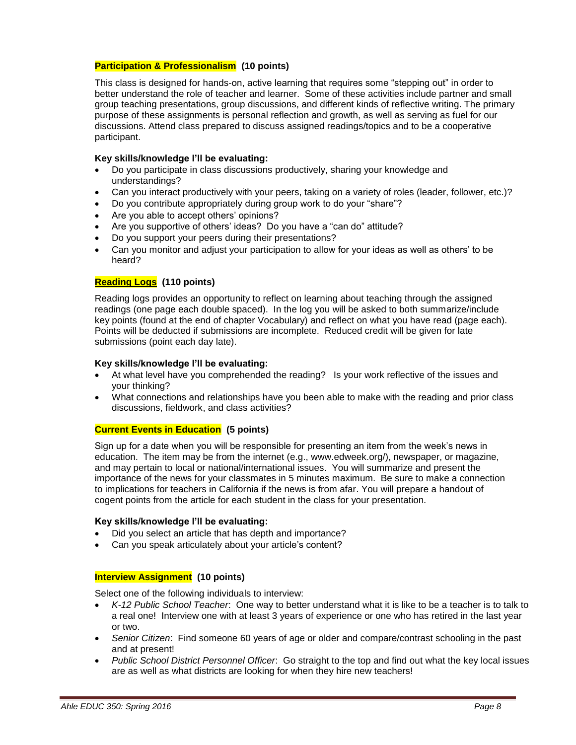### <span id="page-7-0"></span>**Participation & Professionalism (10 points)**

This class is designed for hands-on, active learning that requires some "stepping out" in order to better understand the role of teacher and learner. Some of these activities include partner and small group teaching presentations, group discussions, and different kinds of reflective writing. The primary purpose of these assignments is personal reflection and growth, as well as serving as fuel for our discussions. Attend class prepared to discuss assigned readings/topics and to be a cooperative participant.

### **Key skills/knowledge I'll be evaluating:**

- Do you participate in class discussions productively, sharing your knowledge and understandings?
- Can you interact productively with your peers, taking on a variety of roles (leader, follower, etc.)?
- Do you contribute appropriately during group work to do your "share"?
- Are you able to accept others' opinions?
- Are you supportive of others' ideas? Do you have a "can do" attitude?
- Do you support your peers during their presentations?
- Can you monitor and adjust your participation to allow for your ideas as well as others' to be heard?

### <span id="page-7-1"></span>**Reading Logs (110 points)**

Reading logs provides an opportunity to reflect on learning about teaching through the assigned readings (one page each double spaced). In the log you will be asked to both summarize/include key points (found at the end of chapter Vocabulary) and reflect on what you have read (page each). Points will be deducted if submissions are incomplete. Reduced credit will be given for late submissions (point each day late).

#### **Key skills/knowledge I'll be evaluating:**

- At what level have you comprehended the reading? Is your work reflective of the issues and your thinking?
- What connections and relationships have you been able to make with the reading and prior class discussions, fieldwork, and class activities?

#### <span id="page-7-2"></span>**Current Events in Education (5 points)**

Sign up for a date when you will be responsible for presenting an item from the week's news in education. The item may be from the internet (e.g., www.edweek.org/), newspaper, or magazine, and may pertain to local or national/international issues. You will summarize and present the importance of the news for your classmates in 5 minutes maximum. Be sure to make a connection to implications for teachers in California if the news is from afar. You will prepare a handout of cogent points from the article for each student in the class for your presentation.

#### **Key skills/knowledge I'll be evaluating:**

- Did you select an article that has depth and importance?
- Can you speak articulately about your article's content?

#### <span id="page-7-3"></span>**Interview Assignment (10 points)**

Select one of the following individuals to interview:

- *K-12 Public School Teacher*: One way to better understand what it is like to be a teacher is to talk to a real one! Interview one with at least 3 years of experience or one who has retired in the last year or two.
- *Senior Citizen*: Find someone 60 years of age or older and compare/contrast schooling in the past and at present!
- *Public School District Personnel Officer*: Go straight to the top and find out what the key local issues are as well as what districts are looking for when they hire new teachers!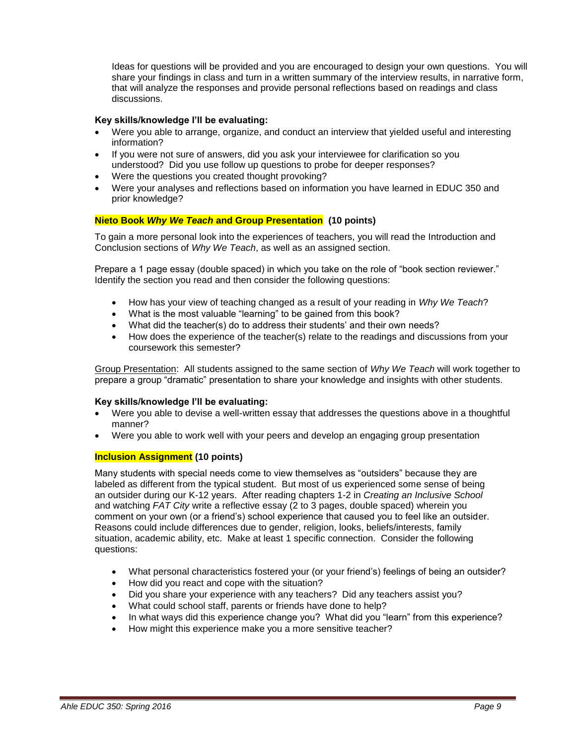Ideas for questions will be provided and you are encouraged to design your own questions. You will share your findings in class and turn in a written summary of the interview results, in narrative form, that will analyze the responses and provide personal reflections based on readings and class discussions.

### **Key skills/knowledge I'll be evaluating:**

- Were you able to arrange, organize, and conduct an interview that yielded useful and interesting information?
- If you were not sure of answers, did you ask your interviewee for clarification so you understood? Did you use follow up questions to probe for deeper responses?
- Were the questions you created thought provoking?
- Were your analyses and reflections based on information you have learned in EDUC 350 and prior knowledge?

### <span id="page-8-0"></span>**Nieto Book** *Why We Teach* **and Group Presentation (10 points)**

To gain a more personal look into the experiences of teachers, you will read the Introduction and Conclusion sections of *Why We Teach*, as well as an assigned section.

Prepare a 1 page essay (double spaced) in which you take on the role of "book section reviewer." Identify the section you read and then consider the following questions:

- How has your view of teaching changed as a result of your reading in *Why We Teach*?
- What is the most valuable "learning" to be gained from this book?
- What did the teacher(s) do to address their students' and their own needs?
- How does the experience of the teacher(s) relate to the readings and discussions from your coursework this semester?

Group Presentation: All students assigned to the same section of *Why We Teach* will work together to prepare a group "dramatic" presentation to share your knowledge and insights with other students.

#### **Key skills/knowledge I'll be evaluating:**

- Were you able to devise a well-written essay that addresses the questions above in a thoughtful manner?
- Were you able to work well with your peers and develop an engaging group presentation

#### <span id="page-8-1"></span>**Inclusion Assignment (10 points)**

Many students with special needs come to view themselves as "outsiders" because they are labeled as different from the typical student. But most of us experienced some sense of being an outsider during our K-12 years. After reading chapters 1-2 in *Creating an Inclusive School* and watching *FAT City* write a reflective essay (2 to 3 pages, double spaced) wherein you comment on your own (or a friend's) school experience that caused you to feel like an outsider. Reasons could include differences due to gender, religion, looks, beliefs/interests, family situation, academic ability, etc. Make at least 1 specific connection. Consider the following questions:

- What personal characteristics fostered your (or your friend's) feelings of being an outsider?
- How did you react and cope with the situation?
- Did you share your experience with any teachers? Did any teachers assist you?
- What could school staff, parents or friends have done to help?
- In what ways did this experience change you? What did you "learn" from this experience?
- How might this experience make you a more sensitive teacher?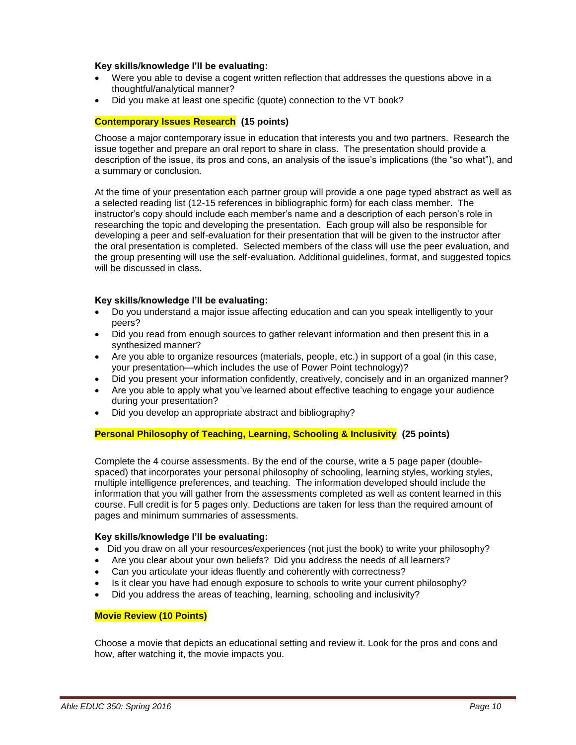#### **Key skills/knowledge I'll be evaluating:**

- Were you able to devise a cogent written reflection that addresses the questions above in a thoughtful/analytical manner?
- Did you make at least one specific (quote) connection to the VT book?

### <span id="page-9-0"></span>**Contemporary Issues Research (15 points)**

Choose a major contemporary issue in education that interests you and two partners. Research the issue together and prepare an oral report to share in class. The presentation should provide a description of the issue, its pros and cons, an analysis of the issue's implications (the "so what"), and a summary or conclusion.

At the time of your presentation each partner group will provide a one page typed abstract as well as a selected reading list (12-15 references in bibliographic form) for each class member. The instructor's copy should include each member's name and a description of each person's role in researching the topic and developing the presentation. Each group will also be responsible for developing a peer and self-evaluation for their presentation that will be given to the instructor after the oral presentation is completed. Selected members of the class will use the peer evaluation, and the group presenting will use the self-evaluation. Additional guidelines, format, and suggested topics will be discussed in class.

#### **Key skills/knowledge I'll be evaluating:**

- Do you understand a major issue affecting education and can you speak intelligently to your peers?
- Did you read from enough sources to gather relevant information and then present this in a synthesized manner?
- Are you able to organize resources (materials, people, etc.) in support of a goal (in this case, your presentation—which includes the use of Power Point technology)?
- Did you present your information confidently, creatively, concisely and in an organized manner?
- Are you able to apply what you've learned about effective teaching to engage your audience during your presentation?
- Did you develop an appropriate abstract and bibliography?

#### <span id="page-9-1"></span>**Personal Philosophy of Teaching, Learning, Schooling & Inclusivity (25 points)**

Complete the 4 course assessments. By the end of the course, write a 5 page paper (doublespaced) that incorporates your personal philosophy of schooling, learning styles, working styles, multiple intelligence preferences, and teaching. The information developed should include the information that you will gather from the assessments completed as well as content learned in this course. Full credit is for 5 pages only. Deductions are taken for less than the required amount of pages and minimum summaries of assessments.

#### **Key skills/knowledge I'll be evaluating:**

- Did you draw on all your resources/experiences (not just the book) to write your philosophy?
- Are you clear about your own beliefs? Did you address the needs of all learners?
- Can you articulate your ideas fluently and coherently with correctness?
- Is it clear you have had enough exposure to schools to write your current philosophy?
- Did you address the areas of teaching, learning, schooling and inclusivity?

#### <span id="page-9-2"></span>**Movie Review (10 Points)**

Choose a movie that depicts an educational setting and review it. Look for the pros and cons and how, after watching it, the movie impacts you.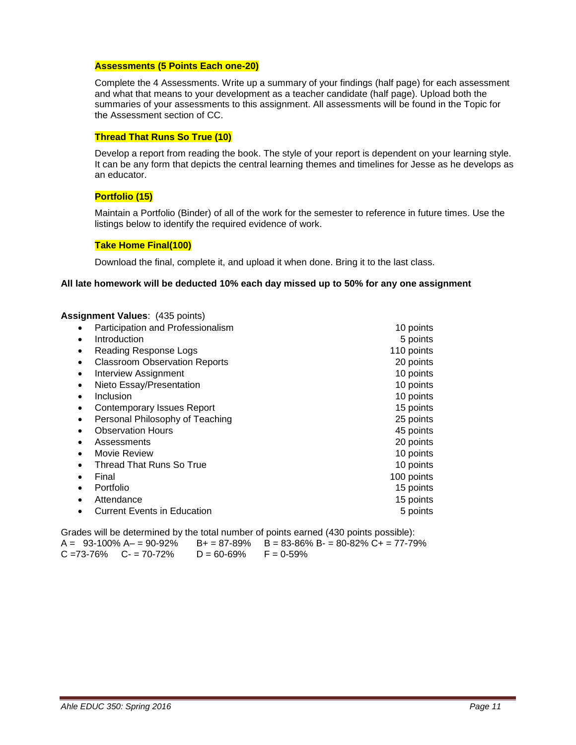#### <span id="page-10-0"></span>**Assessments (5 Points Each one-20)**

Complete the 4 Assessments. Write up a summary of your findings (half page) for each assessment and what that means to your development as a teacher candidate (half page). Upload both the summaries of your assessments to this assignment. All assessments will be found in the Topic for the Assessment section of CC.

### <span id="page-10-1"></span>**Thread That Runs So True (10)**

Develop a report from reading the book. The style of your report is dependent on your learning style. It can be any form that depicts the central learning themes and timelines for Jesse as he develops as an educator.

### <span id="page-10-2"></span>**Portfolio (15)**

Maintain a Portfolio (Binder) of all of the work for the semester to reference in future times. Use the listings below to identify the required evidence of work.

#### <span id="page-10-3"></span>**Take Home Final(100)**

Download the final, complete it, and upload it when done. Bring it to the last class.

#### **All late homework will be deducted 10% each day missed up to 50% for any one assignment**

#### **Assignment Values**: (435 points)

| ٠         | Participation and Professionalism    | 10 points  |
|-----------|--------------------------------------|------------|
| $\bullet$ | Introduction                         | 5 points   |
|           | Reading Response Logs                | 110 points |
| ٠         | <b>Classroom Observation Reports</b> | 20 points  |
| ٠         | <b>Interview Assignment</b>          | 10 points  |
| ٠         | Nieto Essay/Presentation             | 10 points  |
|           | Inclusion                            | 10 points  |
|           | <b>Contemporary Issues Report</b>    | 15 points  |
| ٠         | Personal Philosophy of Teaching      | 25 points  |
|           | <b>Observation Hours</b>             | 45 points  |
|           | Assessments                          | 20 points  |
| ٠         | Movie Review                         | 10 points  |
|           | <b>Thread That Runs So True</b>      | 10 points  |
|           | Final                                | 100 points |
|           | Portfolio                            | 15 points  |
|           | Attendance                           | 15 points  |
|           | <b>Current Events in Education</b>   | 5 points   |
|           |                                      |            |

Grades will be determined by the total number of points earned (430 points possible): A =  $93-100\%$  A –  $= 90-92\%$  B + =  $87-89\%$  B =  $83-86\%$  B =  $80-82\%$  C + =  $77-79\%$  $C = 73-76\%$   $C = 70-72\%$   $D = 60-69\%$   $F = 0-59\%$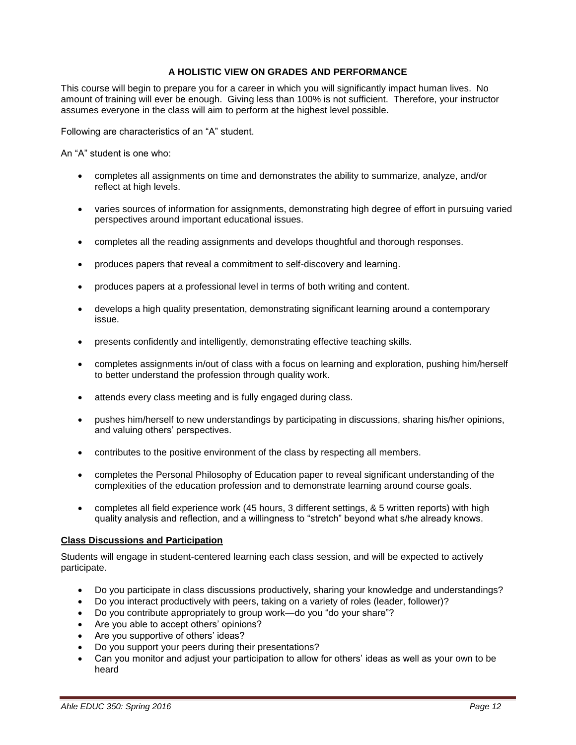### **A HOLISTIC VIEW ON GRADES AND PERFORMANCE**

<span id="page-11-0"></span>This course will begin to prepare you for a career in which you will significantly impact human lives. No amount of training will ever be enough. Giving less than 100% is not sufficient. Therefore, your instructor assumes everyone in the class will aim to perform at the highest level possible.

Following are characteristics of an "A" student.

An "A" student is one who:

- completes all assignments on time and demonstrates the ability to summarize, analyze, and/or reflect at high levels.
- varies sources of information for assignments, demonstrating high degree of effort in pursuing varied perspectives around important educational issues.
- completes all the reading assignments and develops thoughtful and thorough responses.
- produces papers that reveal a commitment to self-discovery and learning.
- produces papers at a professional level in terms of both writing and content.
- develops a high quality presentation, demonstrating significant learning around a contemporary issue.
- presents confidently and intelligently, demonstrating effective teaching skills.
- completes assignments in/out of class with a focus on learning and exploration, pushing him/herself to better understand the profession through quality work.
- attends every class meeting and is fully engaged during class.
- pushes him/herself to new understandings by participating in discussions, sharing his/her opinions, and valuing others' perspectives.
- contributes to the positive environment of the class by respecting all members.
- completes the Personal Philosophy of Education paper to reveal significant understanding of the complexities of the education profession and to demonstrate learning around course goals.
- completes all field experience work (45 hours, 3 different settings, & 5 written reports) with high quality analysis and reflection, and a willingness to "stretch" beyond what s/he already knows.

#### <span id="page-11-1"></span>**Class Discussions and Participation**

Students will engage in student-centered learning each class session, and will be expected to actively participate.

- Do you participate in class discussions productively, sharing your knowledge and understandings?
- Do you interact productively with peers, taking on a variety of roles (leader, follower)?
- Do you contribute appropriately to group work—do you "do your share"?
- Are you able to accept others' opinions?
- Are you supportive of others' ideas?
- Do you support your peers during their presentations?
- Can you monitor and adjust your participation to allow for others' ideas as well as your own to be heard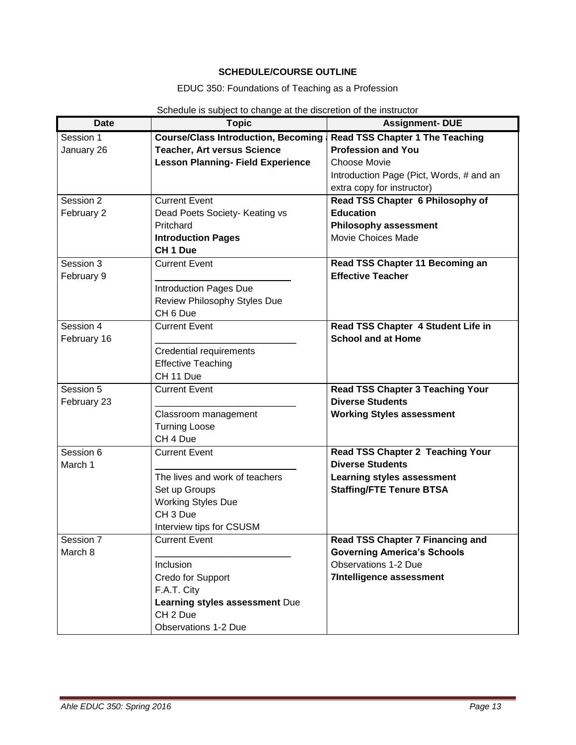# **SCHEDULE/COURSE OUTLINE**

# EDUC 350: Foundations of Teaching as a Profession

<span id="page-12-0"></span>

| <b>Date</b> | ponodalo lo papjoci to phango at the diporption of the motidotor<br><b>Topic</b> | <b>Assignment- DUE</b>                   |
|-------------|----------------------------------------------------------------------------------|------------------------------------------|
| Session 1   | <b>Course/Class Introduction, Becoming a</b>                                     | <b>Read TSS Chapter 1 The Teaching</b>   |
| January 26  | <b>Teacher, Art versus Science</b>                                               | <b>Profession and You</b>                |
|             | <b>Lesson Planning- Field Experience</b>                                         | Choose Movie                             |
|             |                                                                                  | Introduction Page (Pict, Words, # and an |
|             |                                                                                  | extra copy for instructor)               |
| Session 2   | <b>Current Event</b>                                                             | Read TSS Chapter 6 Philosophy of         |
| February 2  | Dead Poets Society- Keating vs                                                   | <b>Education</b>                         |
|             | Pritchard                                                                        | <b>Philosophy assessment</b>             |
|             | <b>Introduction Pages</b>                                                        | Movie Choices Made                       |
|             | CH <sub>1</sub> Due                                                              |                                          |
| Session 3   | <b>Current Event</b>                                                             | Read TSS Chapter 11 Becoming an          |
| February 9  |                                                                                  | <b>Effective Teacher</b>                 |
|             | <b>Introduction Pages Due</b>                                                    |                                          |
|             | Review Philosophy Styles Due                                                     |                                          |
|             | CH <sub>6</sub> Due                                                              |                                          |
| Session 4   | <b>Current Event</b>                                                             | Read TSS Chapter 4 Student Life in       |
| February 16 |                                                                                  | <b>School and at Home</b>                |
|             | <b>Credential requirements</b>                                                   |                                          |
|             | <b>Effective Teaching</b>                                                        |                                          |
|             | CH 11 Due                                                                        |                                          |
| Session 5   | <b>Current Event</b>                                                             | <b>Read TSS Chapter 3 Teaching Your</b>  |
| February 23 |                                                                                  | <b>Diverse Students</b>                  |
|             | Classroom management                                                             | <b>Working Styles assessment</b>         |
|             | <b>Turning Loose</b>                                                             |                                          |
|             | CH 4 Due                                                                         |                                          |
| Session 6   | <b>Current Event</b>                                                             | Read TSS Chapter 2 Teaching Your         |
| March 1     |                                                                                  | <b>Diverse Students</b>                  |
|             | The lives and work of teachers                                                   | <b>Learning styles assessment</b>        |
|             | Set up Groups                                                                    | <b>Staffing/FTE Tenure BTSA</b>          |
|             | <b>Working Styles Due</b>                                                        |                                          |
|             | CH <sub>3</sub> Due                                                              |                                          |
|             | Interview tips for CSUSM                                                         |                                          |
| Session 7   | <b>Current Event</b>                                                             | Read TSS Chapter 7 Financing and         |
| March 8     |                                                                                  | <b>Governing America's Schools</b>       |
|             | Inclusion                                                                        | <b>Observations 1-2 Due</b>              |
|             | Credo for Support                                                                | <b>7Intelligence assessment</b>          |
|             | F.A.T. City                                                                      |                                          |
|             | Learning styles assessment Due                                                   |                                          |
|             | CH <sub>2</sub> Due                                                              |                                          |
|             | <b>Observations 1-2 Due</b>                                                      |                                          |

# Schedule is subject to change at the discretion of the instructor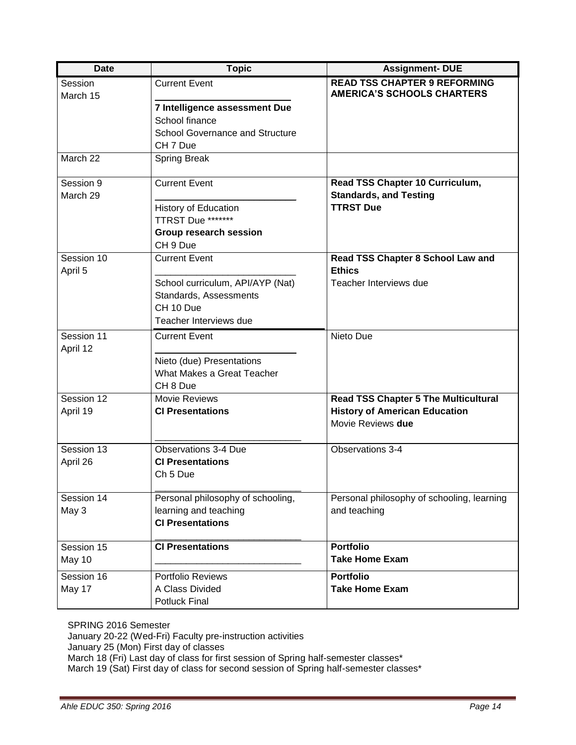| <b>Date</b>            | <b>Topic</b>                           | <b>Assignment-DUE</b>                                                    |
|------------------------|----------------------------------------|--------------------------------------------------------------------------|
| Session<br>March 15    | <b>Current Event</b>                   | <b>READ TSS CHAPTER 9 REFORMING</b><br><b>AMERICA'S SCHOOLS CHARTERS</b> |
|                        | 7 Intelligence assessment Due          |                                                                          |
|                        | School finance                         |                                                                          |
|                        | <b>School Governance and Structure</b> |                                                                          |
|                        | CH 7 Due                               |                                                                          |
| March 22               | <b>Spring Break</b>                    |                                                                          |
| Session 9              | <b>Current Event</b>                   | Read TSS Chapter 10 Curriculum,                                          |
| March 29               |                                        | <b>Standards, and Testing</b>                                            |
|                        | <b>History of Education</b>            | <b>TTRST Due</b>                                                         |
|                        | TTRST Due *******                      |                                                                          |
|                        | Group research session                 |                                                                          |
|                        | CH <sub>9</sub> Due                    |                                                                          |
| Session 10<br>April 5  | <b>Current Event</b>                   | Read TSS Chapter 8 School Law and<br><b>Ethics</b>                       |
|                        | School curriculum, API/AYP (Nat)       | Teacher Interviews due                                                   |
|                        | Standards, Assessments                 |                                                                          |
|                        | CH 10 Due                              |                                                                          |
|                        | Teacher Interviews due                 |                                                                          |
| Session 11<br>April 12 | <b>Current Event</b>                   | Nieto Due                                                                |
|                        | Nieto (due) Presentations              |                                                                          |
|                        | What Makes a Great Teacher             |                                                                          |
|                        | CH <sub>8</sub> Due                    |                                                                          |
| Session 12             | Movie Reviews                          | <b>Read TSS Chapter 5 The Multicultural</b>                              |
| April 19               | <b>CI Presentations</b>                | <b>History of American Education</b>                                     |
|                        |                                        | Movie Reviews due                                                        |
| Session 13             | <b>Observations 3-4 Due</b>            | Observations 3-4                                                         |
| April 26               | <b>CI Presentations</b>                |                                                                          |
|                        | Ch <sub>5</sub> Due                    |                                                                          |
| Session 14             | Personal philosophy of schooling,      | Personal philosophy of schooling, learning                               |
| May 3                  | learning and teaching                  | and teaching                                                             |
|                        | <b>CI Presentations</b>                |                                                                          |
| Session 15             | <b>CI Presentations</b>                | <b>Portfolio</b>                                                         |
| May 10                 |                                        | <b>Take Home Exam</b>                                                    |
| Session 16             | <b>Portfolio Reviews</b>               | <b>Portfolio</b>                                                         |
| May 17                 | A Class Divided                        | <b>Take Home Exam</b>                                                    |
|                        | <b>Potluck Final</b>                   |                                                                          |

SPRING 2016 Semester

January 20-22 (Wed-Fri) Faculty pre-instruction activities

January 25 (Mon) First day of classes

March 18 (Fri) Last day of class for first session of Spring half-semester classes\*

March 19 (Sat) First day of class for second session of Spring half-semester classes\*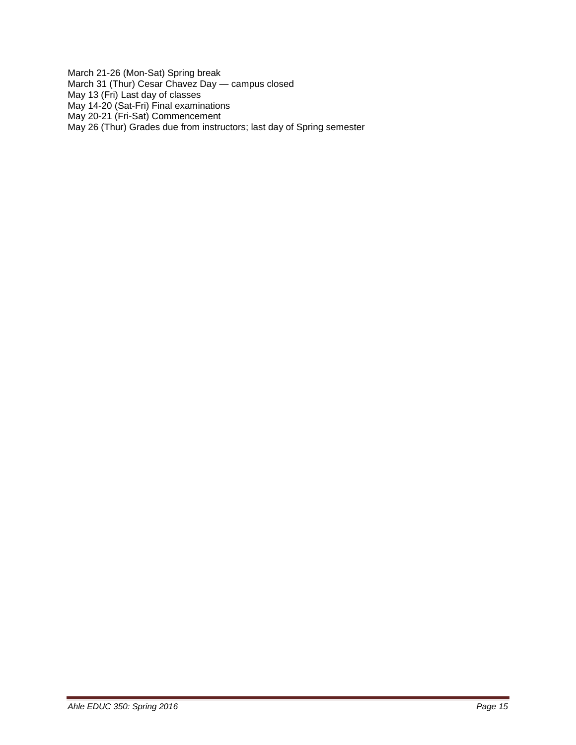March 21-26 (Mon-Sat) Spring break March 31 (Thur) Cesar Chavez Day — campus closed May 13 (Fri) Last day of classes May 14-20 (Sat-Fri) Final examinations May 20-21 (Fri-Sat) Commencement May 26 (Thur) Grades due from instructors; last day of Spring semester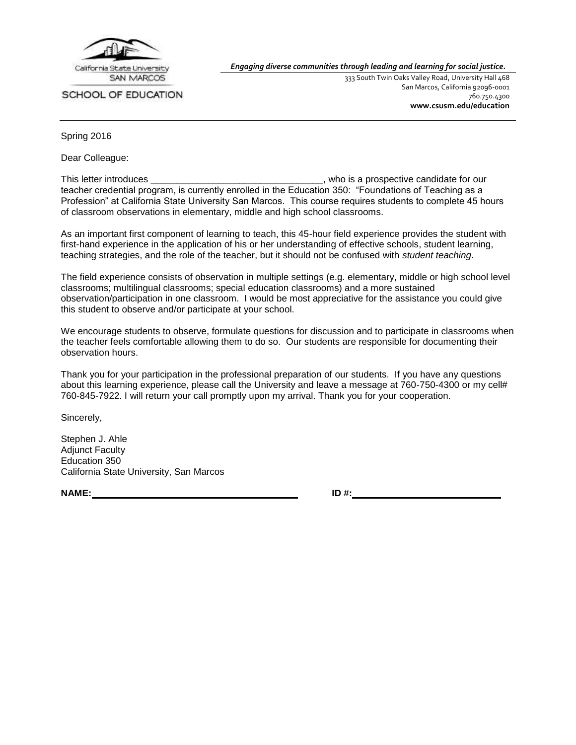

SCHOOL OF EDUCATION

*Engaging diverse communities through leading and learning for social justice.*

333 South Twin Oaks Valley Road, University Hall 468 San Marcos, California 92096-0001 760.750.4300 **[www.csusm.edu/education](http://www.csusm.edu/education)**

Spring 2016

Dear Colleague:

This letter introduces \_\_\_\_\_\_\_\_\_\_\_\_\_\_\_\_\_\_\_\_\_\_\_\_\_\_\_\_\_\_\_\_\_, who is a prospective candidate for our teacher credential program, is currently enrolled in the Education 350: "Foundations of Teaching as a Profession" at California State University San Marcos. This course requires students to complete 45 hours of classroom observations in elementary, middle and high school classrooms.

As an important first component of learning to teach, this 45-hour field experience provides the student with first-hand experience in the application of his or her understanding of effective schools, student learning, teaching strategies, and the role of the teacher, but it should not be confused with *student teaching*.

The field experience consists of observation in multiple settings (e.g. elementary, middle or high school level classrooms; multilingual classrooms; special education classrooms) and a more sustained observation/participation in one classroom. I would be most appreciative for the assistance you could give this student to observe and/or participate at your school.

We encourage students to observe, formulate questions for discussion and to participate in classrooms when the teacher feels comfortable allowing them to do so. Our students are responsible for documenting their observation hours.

Thank you for your participation in the professional preparation of our students. If you have any questions about this learning experience, please call the University and leave a message at 760-750-4300 or my cell# 760-845-7922. I will return your call promptly upon my arrival. Thank you for your cooperation.

Sincerely,

Stephen J. Ahle Adjunct Faculty Education 350 California State University, San Marcos

**NAME: ID #:**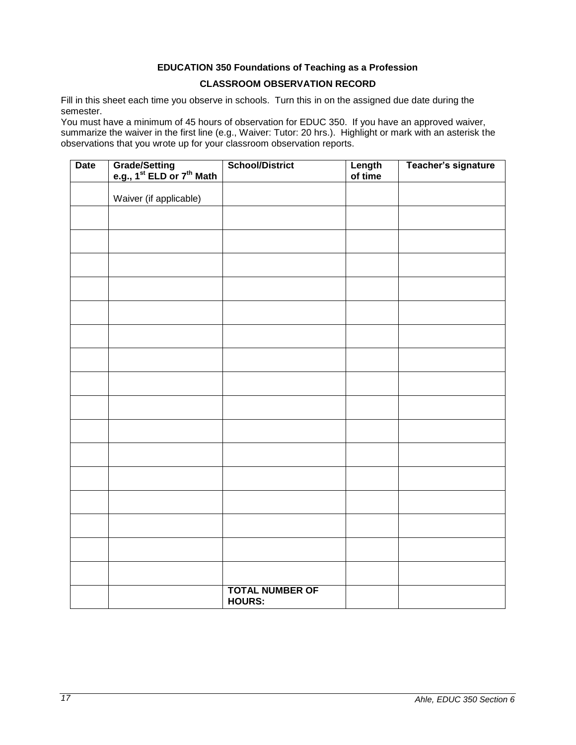# **EDUCATION 350 Foundations of Teaching as a Profession CLASSROOM OBSERVATION RECORD**

<span id="page-16-0"></span>Fill in this sheet each time you observe in schools. Turn this in on the assigned due date during the semester.

You must have a minimum of 45 hours of observation for EDUC 350. If you have an approved waiver, summarize the waiver in the first line (e.g., Waiver: Tutor: 20 hrs.). Highlight or mark with an asterisk the observations that you wrote up for your classroom observation reports.

| <b>Date</b> | Grade/Setting<br>e.g., 1 <sup>st</sup> ELD or 7 <sup>th</sup> Math | <b>School/District</b>                  | Length<br>of time | Teacher's signature |
|-------------|--------------------------------------------------------------------|-----------------------------------------|-------------------|---------------------|
|             | Waiver (if applicable)                                             |                                         |                   |                     |
|             |                                                                    |                                         |                   |                     |
|             |                                                                    |                                         |                   |                     |
|             |                                                                    |                                         |                   |                     |
|             |                                                                    |                                         |                   |                     |
|             |                                                                    |                                         |                   |                     |
|             |                                                                    |                                         |                   |                     |
|             |                                                                    |                                         |                   |                     |
|             |                                                                    |                                         |                   |                     |
|             |                                                                    |                                         |                   |                     |
|             |                                                                    |                                         |                   |                     |
|             |                                                                    |                                         |                   |                     |
|             |                                                                    |                                         |                   |                     |
|             |                                                                    |                                         |                   |                     |
|             |                                                                    |                                         |                   |                     |
|             |                                                                    |                                         |                   |                     |
|             |                                                                    |                                         |                   |                     |
|             |                                                                    | <b>TOTAL NUMBER OF</b><br><b>HOURS:</b> |                   |                     |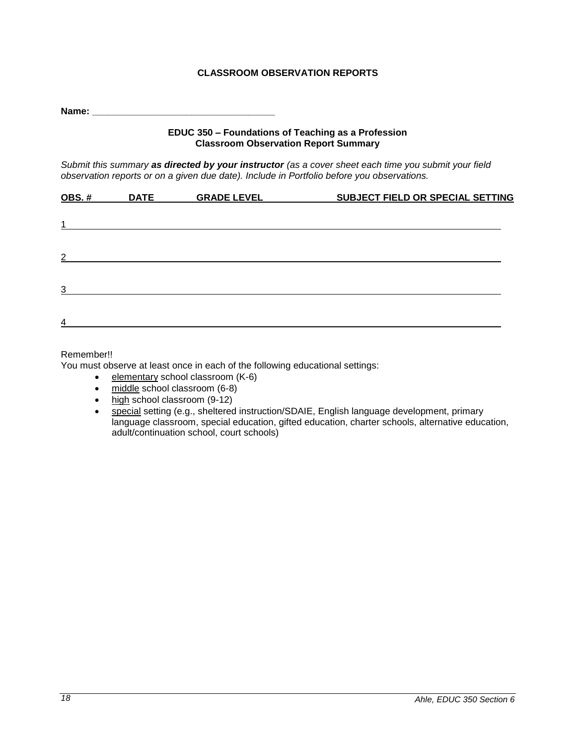# **CLASSROOM OBSERVATION REPORTS**

<span id="page-17-0"></span>**Name:**  $\blacksquare$ 

### **EDUC 350 – Foundations of Teaching as a Profession Classroom Observation Report Summary**

*Submit this summary as directed by your instructor (as a cover sheet each time you submit your field observation reports or on a given due date). Include in Portfolio before you observations.*

| OBS.#          | <b>DATE</b> | <b>GRADE LEVEL</b> | SUBJECT FIELD OR SPECIAL SETTING |
|----------------|-------------|--------------------|----------------------------------|
| 1              |             |                    |                                  |
|                |             |                    |                                  |
| $\overline{2}$ |             |                    |                                  |
| 3              |             |                    |                                  |
| $\overline{4}$ |             |                    |                                  |

### Remember!!

You must observe at least once in each of the following educational settings:

- elementary school classroom (K-6)
- middle school classroom (6-8)
- high school classroom (9-12)
- special setting (e.g., sheltered instruction/SDAIE, English language development, primary language classroom, special education, gifted education, charter schools, alternative education, adult/continuation school, court schools)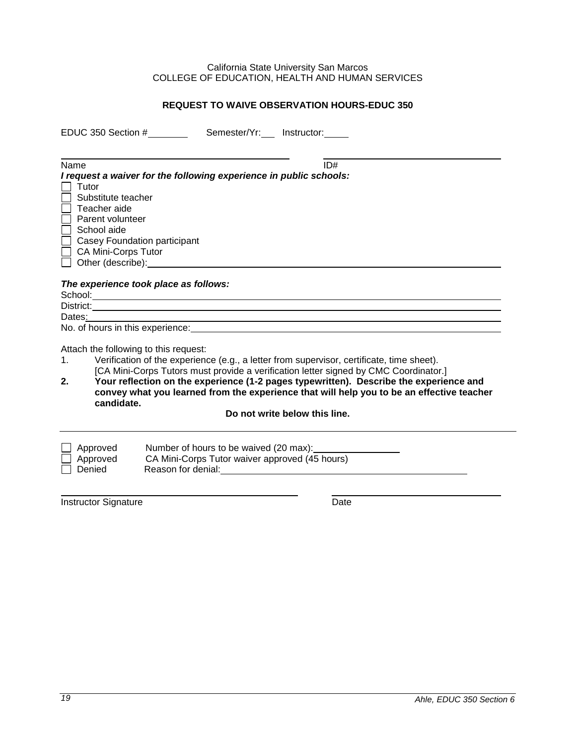### California State University San Marcos COLLEGE OF EDUCATION, HEALTH AND HUMAN SERVICES

### **REQUEST TO WAIVE OBSERVATION HOURS-EDUC 350**

<span id="page-18-0"></span>EDUC 350 Section # Semester/Yr: Instructor:

| Name                                                                                                                                                                                                                                                                                                    | ID#                                                                                                                                      |
|---------------------------------------------------------------------------------------------------------------------------------------------------------------------------------------------------------------------------------------------------------------------------------------------------------|------------------------------------------------------------------------------------------------------------------------------------------|
|                                                                                                                                                                                                                                                                                                         |                                                                                                                                          |
| I request a waiver for the following experience in public schools:                                                                                                                                                                                                                                      |                                                                                                                                          |
| Tutor                                                                                                                                                                                                                                                                                                   |                                                                                                                                          |
| Substitute teacher                                                                                                                                                                                                                                                                                      |                                                                                                                                          |
| Teacher aide                                                                                                                                                                                                                                                                                            |                                                                                                                                          |
| Parent volunteer                                                                                                                                                                                                                                                                                        |                                                                                                                                          |
| School aide                                                                                                                                                                                                                                                                                             |                                                                                                                                          |
| Casey Foundation participant                                                                                                                                                                                                                                                                            |                                                                                                                                          |
| CA Mini-Corps Tutor                                                                                                                                                                                                                                                                                     |                                                                                                                                          |
| Other (describe):                                                                                                                                                                                                                                                                                       |                                                                                                                                          |
|                                                                                                                                                                                                                                                                                                         |                                                                                                                                          |
| The experience took place as follows:                                                                                                                                                                                                                                                                   |                                                                                                                                          |
|                                                                                                                                                                                                                                                                                                         |                                                                                                                                          |
|                                                                                                                                                                                                                                                                                                         |                                                                                                                                          |
| Dates:                                                                                                                                                                                                                                                                                                  |                                                                                                                                          |
| No. of hours in this experience:                                                                                                                                                                                                                                                                        |                                                                                                                                          |
|                                                                                                                                                                                                                                                                                                         |                                                                                                                                          |
| Attach the following to this request:                                                                                                                                                                                                                                                                   |                                                                                                                                          |
| $\mathcal{L}$ , and $\mathcal{L}$ , and $\mathcal{L}$ , and $\mathcal{L}$ , and $\mathcal{L}$ , and $\mathcal{L}$ , and $\mathcal{L}$ , and $\mathcal{L}$ , and $\mathcal{L}$ , and $\mathcal{L}$ , and $\mathcal{L}$ , and $\mathcal{L}$ , and $\mathcal{L}$ , and $\mathcal{L}$ , and $\mathcal{L}$ , | $\mathbf{r}$ and $\mathbf{r}$ are the set of $\mathbf{r}$ and $\mathbf{r}$ and $\mathbf{r}$ and $\mathbf{r}$ are the set of $\mathbf{r}$ |

1. Verification of the experience (e.g., a letter from supervisor, certificate, time sheet). [CA Mini-Corps Tutors must provide a verification letter signed by CMC Coordinator.]

**2. Your reflection on the experience (1-2 pages typewritten). Describe the experience and convey what you learned from the experience that will help you to be an effective teacher candidate.**

### **Do not write below this line.**

| $\Box$ Approved | Number of hours to be waived (20 max):         |  |
|-----------------|------------------------------------------------|--|
| $\Box$ Approved | CA Mini-Corps Tutor waiver approved (45 hours) |  |
| Denied          | Reason for denial:                             |  |

Instructor Signature Date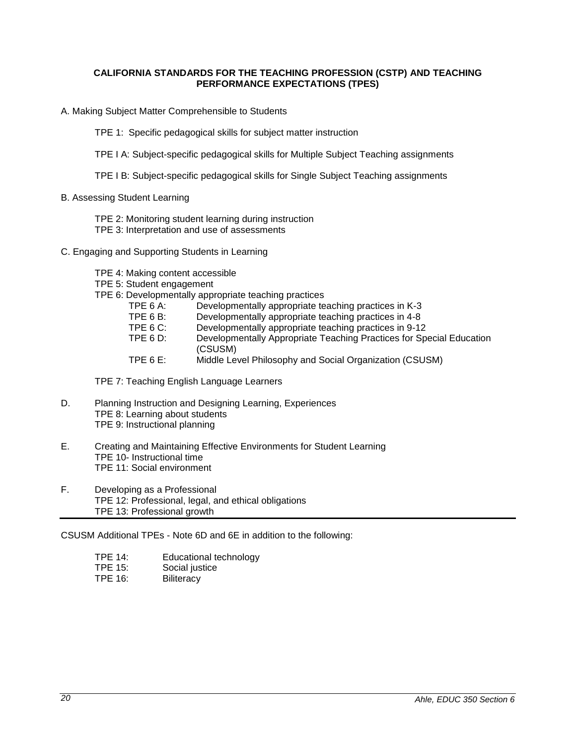### <span id="page-19-0"></span>**CALIFORNIA STANDARDS FOR THE TEACHING PROFESSION (CSTP) AND TEACHING PERFORMANCE EXPECTATIONS (TPES)**

A. Making Subject Matter Comprehensible to Students

TPE 1: Specific pedagogical skills for subject matter instruction

TPE I A: Subject-specific pedagogical skills for Multiple Subject Teaching assignments

TPE I B: Subject-specific pedagogical skills for Single Subject Teaching assignments

B. Assessing Student Learning

TPE 2: Monitoring student learning during instruction

TPE 3: Interpretation and use of assessments

- C. Engaging and Supporting Students in Learning
	- TPE 4: Making content accessible
	- TPE 5: Student engagement
	- TPE 6: Developmentally appropriate teaching practices
		- TPE 6 A: Developmentally appropriate teaching practices in K-3
		- TPE 6 B: Developmentally appropriate teaching practices in 4-8<br>TPE 6 C: Developmentally appropriate teaching practices in 9-12
		- Developmentally appropriate teaching practices in 9-12
		- TPE 6 D: Developmentally Appropriate Teaching Practices for Special Education (CSUSM)
		- TPE 6 E: Middle Level Philosophy and Social Organization (CSUSM)

TPE 7: Teaching English Language Learners

- D. Planning Instruction and Designing Learning, Experiences TPE 8: Learning about students TPE 9: Instructional planning
- E. Creating and Maintaining Effective Environments for Student Learning TPE 10- Instructional time TPE 11: Social environment
- F. Developing as a Professional TPE 12: Professional, legal, and ethical obligations TPE 13: Professional growth

CSUSM Additional TPEs - Note 6D and 6E in addition to the following:

- TPE 14: Educational technology
- TPE 15: Social justice
- TPE 16: Biliteracy